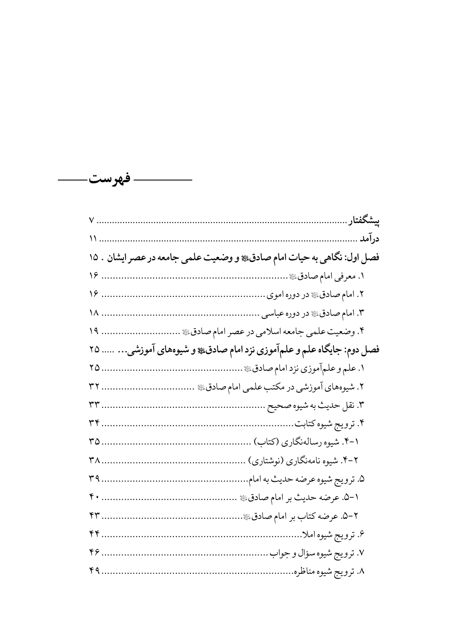

| فصل اول: نگاهی به حیات امام صادق، و وضعیت علمی جامعه در عصر ایشان . ۱۵ |
|------------------------------------------------------------------------|
|                                                                        |
|                                                                        |
|                                                                        |
| ۴. وضعیت علمی جامعه اسلامی در عصر امام صادقﷺ  ۱۹                       |
| فصل دوم: جایگاه علم و علمآموزی نزد امام صادق، و شیوههای آموزشی… …… ۲۵  |
|                                                                        |
| ۲. شیوههای آموزشی در مکتب علمی امام صادق ی ب ۳۲                        |
|                                                                        |
|                                                                        |
|                                                                        |
|                                                                        |
|                                                                        |
|                                                                        |
|                                                                        |
|                                                                        |
|                                                                        |
| ۸. ترويج شيوه مناظره                                                   |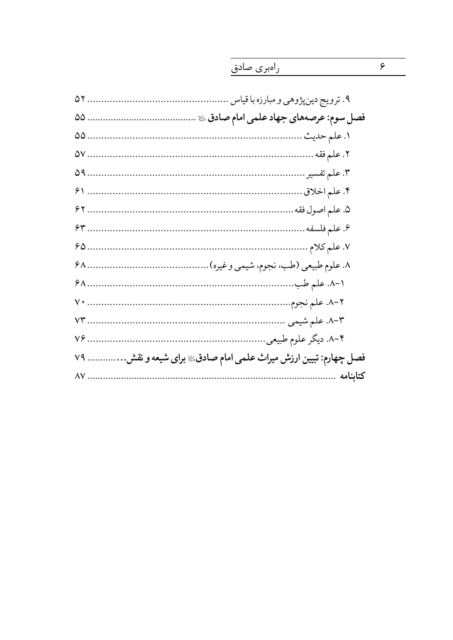| v9 | فصل چهارم: تبیین ارزش میراث علمی امام صادق، برای شیعه و نقش. |
|----|--------------------------------------------------------------|
|    | كتابنامه                                                     |

راەبرى صادق

 $\overline{\epsilon}$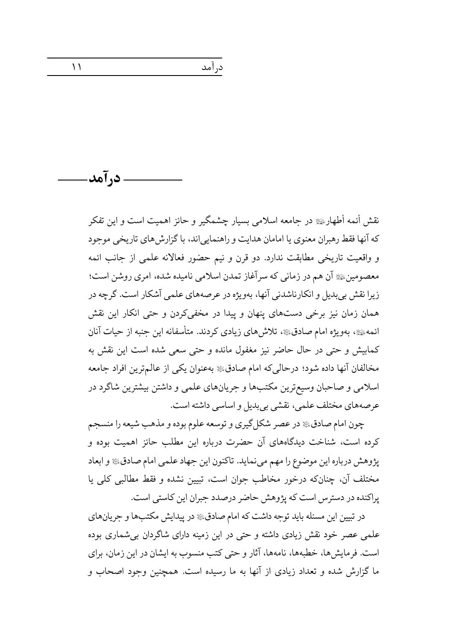. د, آمد-

نقش أئمه أطهار ﷺ در حامعه اسلامی بسیار چشمگیر و حائز اهمیت است و این تفکر كه آنها فقط رهبران معنوي يا امامان هدايت و راهنمايي اند، با گزارش هاي تاريخي موجود و واقعیت تاریخی مطابقت ندارد. دو قرن و نیم حضور فعالانه علمی از جانب ائمه معصومینﷺ آن هم در زمانی که سرآغاز تمدن اسلامی نامیده شده، امری روشن است؛ زيرا نقش بي بديل و انكارناشدني آنها، بهويژه در عرصههاي علمي آشكار است. گرچه در همان زمان نیز برخی دستهای پنهان و پیدا در مخفیکردن و حتی انکار این نقش ائمهﷺ، بهویژه امام صادق،ﷺ، تلاش،ای زیادی کردند. متأسفانه این جنبه از حیات آنان كمابيش و حتى در حال حاضر نيز مغفول مانده و حتى سعى شده است اين نقش به مخالفان آنها داده شود؛ درحالیکه امام صادقﷺ بهعنوان یکی از عالم ترین افراد جامعه اسلامی و صاحبان وسیعترین مکتبها و جریانهای علمی و داشتن بیشترین شاگرد در عرصههاي مختلف علمي، نقشي بي بديل و اساسي داشته است.

در آمد

چون امام صادق، در عصر شکل گیری و توسعه علوم بوده و مذهب شیعه را منسجم کرده است، شناخت دیدگاههای آن حضرت درباره این مطلب حائز اهمیت بوده و يژوهش درباره اين موضوع را مهم مي نمايد. تاكنون اين جهاد علمي امام صادق، و ابعاد مختلف آن، چنانکه درخور مخاطب جوان است، تبیین نشده و فقط مطالبی کلی یا یراکنده در دسترس است که پژوهش حاضر درصدد جبران این کاستی است.

در تبیین این مسئله باید توجه داشت که امام صادقﷺ در پیدایش مکتبها و جریانهای علمی عصر خود نقش زیادی داشته و حتی در این زمینه دارای شاگردان بی شماری بوده است. فرمایش ها، خطبهها، نامهها، آثار و حتی کتب منسوب به ایشان در این زمان، برای ما گزارش شده و تعداد زیادی از آنها به ما رسیده است. همچنین وجود اصحاب و

 $\setminus$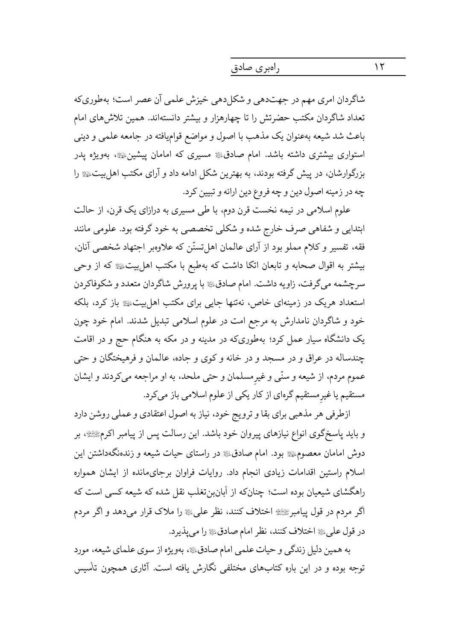راەبرى صادق

شاگردان امري مهم در جهتدهي و شكل دهي خيزش علمي آن عصر است؛ بهطوري كه تعداد شاگردان مکتب حضرتش را تا چهارهزار و بیشتر دانستهاند. همین تلاش های امام باعث شد شیعه بهعنوان یک مذهب با اصول و مواضع قوامیافته در جامعه علمی و دینی استواری بیشتری داشته باشد. امام صادق، مسیری که امامان پیشین، ای بهویژه پدر بزرگوارشان، در پیش گرفته بودند، به بهترین شکل ادامه داد و آرای مکتب اهل بیت چه در زمینه اصول دین و چه فروع دین ارائه و تبیین کرد.

علوم اسلامی در نیمه نخست قرن دوم، با طی مسیری به درازای یک قرن، از حالت ابتدایی و شفاهی صرف خارج شده و شکلی تخصصی به خود گرفته بود. علومی مانند فقه، تفسیر و کلام مملو بود از آرای عالمان اهل تسنّن که علاوهبر اجتهاد شخصی آنان، بیشتر به اقوال صحابه و تابعان اتکا داشت که بهطبع با مکتب اهل بیتﷺ که از وحی سرچشمه میگرفت، زاویه داشت. امام صادق ی با پرورش شاگردان متعدد و شکوفاکردن استعداد هریک در زمینهای خاص، نهتنها جایی برای مکتب اهل بیتﷺ باز کرد، بلکه خود و شاگردان نامدارش به مرجع امت در علوم اسلامی تبدیل شدند. امام خود چون یک دانشگاه سیار عمل کرد؛ بهطوریکه در مدینه و در مکه به هنگام حج و در اقامت چندساله در عراق و در مسجد و در خانه و کوی و جاده، عالمان و فرهیختگان و حتی عموم مردم، از شیعه و سنّی و غیرمسلمان و حتی ملحد، به او مراجعه میکردند و ایشان مستقیم یا غیرمستقیم گرهای از کار یکی از علوم اسلامی باز میکرد.

ازطرفی هر مذهبی برای بقا و ترویج خود، نیاز به اصول اعتقادی و عملی روشن دارد و باید پاسخگوی انواع نیازهای پیروان خود باشد. این رسالت پس از پیامبر اکرمﷺ، بر دوش امامان معصوم، ای بود. امام صادق، در راستای حیات شیعه و زندهنگهداشتن این اسلام راستین اقدامات زیادی انجام داد. روایات فراوان برجای مانده از ایشان همواره راهگشای شیعیان بوده است؛ چنانکه از أبانبنتغلب نقل شده که شیعه کسی است که اگر مردم در قول پیامبرﷺ اختلاف کنند، نظر علیﷺ را ملاک قرار می دهد و اگر مردم در قول على ، اختلاف كنند، نظر امام صادق، از امى پذيرد.

به همین دلیل زندگی و حیات علمی امام صادق یه بهویژه از سوی علمای شیعه، مورد توجه بوده و در این باره کتابهای مختلفی نگارش یافته است. آثاری همچون تأسیس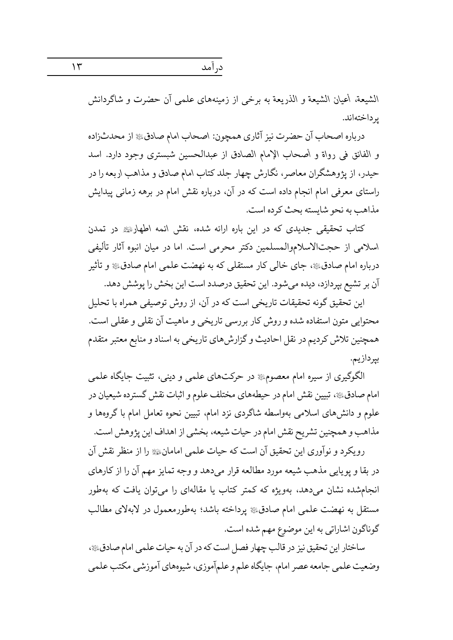درآمد

الشيعة، أعيان الشيعة و الذريعة به برخي از زمينههاي علمي آن حضرت و شاگردانش ىرداختەاند.

درباره اصحاب آن حضرت نیز آثاری همچون: اصحاب امام صادق، از محدثزاده و الفائق في رواة و أصحاب الإمام الصادق از عبدالحسين شبستري وجود دارد. اسد حیدر، از پژوهشگران معاصر، نگارش چهار جلد کتاب امام صادق و مذاهب اربعه را در راستای معرفی امام انجام داده است که در آن، درباره نقش امام در برهه زمانی پیدایش مذاهب به نحو شايسته بحث كرده است.

کتاب تحقیقی جدیدی که در این باره ارائه شده، نقش ائمه اطهار چ در تمدن اسلامی از حجتالاسلاموالمسلمین دکتر محرمی است. اما در میان انبوه آثار تألیفی درباره امام صادقﷺ، جای خالی کار مستقلی که به نهضت علمی امام صادق، و تأثیر آن بر تشيع بيردازد، ديده مي شود. اين تحقيق درصدد است اين بخش را پوشش دهد.

این تحقیق گونه تحقیقات تاریخی است که در آن، از روش توصیفی همراه با تحلیل محتوایی متون استفاده شده و روش کار بررسی تاریخی و ماهیت آن نقلی و عقلی است. همچنین تلاش کردیم در نقل احادیث و گزارشهای تاریخی به اسناد و منابع معتبر متقدم بپردازيم.

الگوگیری از سیره امام معصوم؛ در حرکتهای علمی و دینی، تثبیت جایگاه علمی امام صادقﷺ، تبیین نقش امام در حیطههای مختلف علوم و اثبات نقش گسترده شیعیان در علوم و دانشهای اسلامی بهواسطه شاگردی نزد امام، تبیین نحوه تعامل امام با گروهها و مذاهب و همچنین تشریح نقش امام در حیات شیعه، بخشی از اهداف این پژوهش است.

رویکرد و نوآوری این تحقیق آن است که حیات علمی امامانﷺ را از منظر نقش آن در بقا و يوپايي مذهب شيعه مورد مطالعه قرار مي دهد و وجه تمايز مهم آن را از كارهاي انجامشده نشان میدهد، بهویژه که کمتر کتاب یا مقالهای را می توان یافت که بهطور مستقل به نهضت علمی امام صادقﷺ پرداخته باشد؛ بهطورمعمول در لابهلای مطالب گوناگون اشاراتي به اين موضوع مهم شده است.

ساختار این تحقیق نیز در قالب چهار فصل است که در آن به حیات علمی امام صادق وضعیت علمی جامعه عصر امام، جایگاه علم و علمآموزی، شیوههای آموزشی مکتب علمی